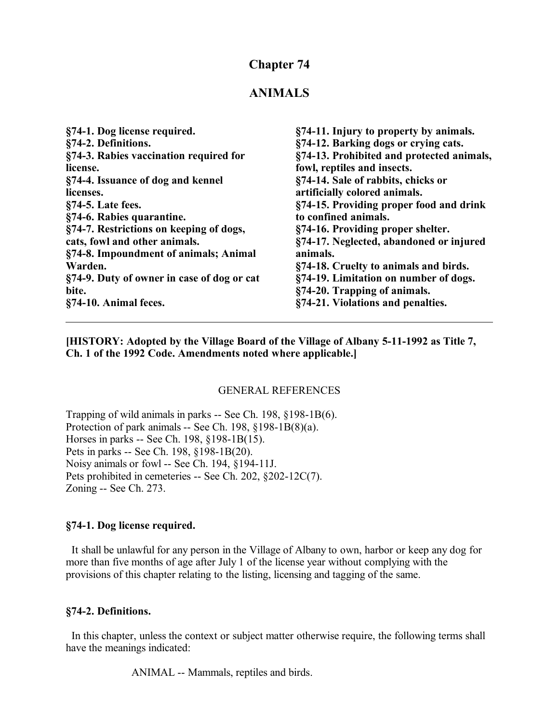### **Chapter 74**

### **ANIMALS**

| §74-11. Injury to property by animals.    |
|-------------------------------------------|
| §74-12. Barking dogs or crying cats.      |
| §74-13. Prohibited and protected animals, |
| fowl, reptiles and insects.               |
| §74-14. Sale of rabbits, chicks or        |
| artificially colored animals.             |
| §74-15. Providing proper food and drink   |
| to confined animals.                      |
| §74-16. Providing proper shelter.         |
| §74-17. Neglected, abandoned or injured   |
| animals.                                  |
| §74-18. Cruelty to animals and birds.     |
| §74-19. Limitation on number of dogs.     |
| §74-20. Trapping of animals.              |
| §74-21. Violations and penalties.         |
|                                           |

**[HISTORY: Adopted by the Village Board of the Village of Albany 5-11-1992 as Title 7, Ch. 1 of the 1992 Code. Amendments noted where applicable.]**

#### GENERAL REFERENCES

Trapping of wild animals in parks -- See Ch. 198, §198-1B(6). Protection of park animals -- See Ch. 198, §198-1B(8)(a). Horses in parks -- See Ch. 198, §198-1B(15). Pets in parks -- See Ch. 198, §198-1B(20). Noisy animals or fowl -- See Ch. 194, §194-11J. Pets prohibited in cemeteries -- See Ch. 202, §202-12C(7). Zoning -- See Ch. 273.

#### **§74-1. Dog license required.**

 It shall be unlawful for any person in the Village of Albany to own, harbor or keep any dog for more than five months of age after July 1 of the license year without complying with the provisions of this chapter relating to the listing, licensing and tagging of the same.

#### **§74-2. Definitions.**

 In this chapter, unless the context or subject matter otherwise require, the following terms shall have the meanings indicated:

ANIMAL -- Mammals, reptiles and birds.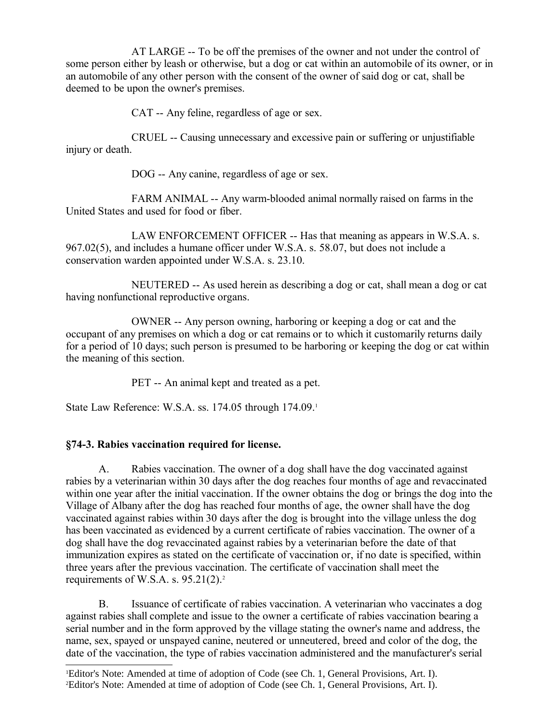AT LARGE -- To be off the premises of the owner and not under the control of some person either by leash or otherwise, but a dog or cat within an automobile of its owner, or in an automobile of any other person with the consent of the owner of said dog or cat, shall be deemed to be upon the owner's premises.

CAT -- Any feline, regardless of age or sex.

CRUEL -- Causing unnecessary and excessive pain or suffering or unjustifiable injury or death.

DOG -- Any canine, regardless of age or sex.

FARM ANIMAL -- Any warm-blooded animal normally raised on farms in the United States and used for food or fiber.

LAW ENFORCEMENT OFFICER -- Has that meaning as appears in W.S.A. s. 967.02(5), and includes a humane officer under W.S.A. s. 58.07, but does not include a conservation warden appointed under W.S.A. s. 23.10.

NEUTERED -- As used herein as describing a dog or cat, shall mean a dog or cat having nonfunctional reproductive organs.

OWNER -- Any person owning, harboring or keeping a dog or cat and the occupant of any premises on which a dog or cat remains or to which it customarily returns daily for a period of 10 days; such person is presumed to be harboring or keeping the dog or cat within the meaning of this section.

PET -- An animal kept and treated as a pet.

State Law Reference: W.S.A. ss. [1](#page-1-0)74.05 through 174.09.<sup>1</sup>

### **§74-3. Rabies vaccination required for license.**

A. Rabies vaccination. The owner of a dog shall have the dog vaccinated against rabies by a veterinarian within 30 days after the dog reaches four months of age and revaccinated within one year after the initial vaccination. If the owner obtains the dog or brings the dog into the Village of Albany after the dog has reached four months of age, the owner shall have the dog vaccinated against rabies within 30 days after the dog is brought into the village unless the dog has been vaccinated as evidenced by a current certificate of rabies vaccination. The owner of a dog shall have the dog revaccinated against rabies by a veterinarian before the date of that immunization expires as stated on the certificate of vaccination or, if no date is specified, within three years after the previous vaccination. The certificate of vaccination shall meet the requirements of W.S.A. s.  $95.21(2).^2$  $95.21(2).^2$  $95.21(2).^2$ 

B. Issuance of certificate of rabies vaccination. A veterinarian who vaccinates a dog against rabies shall complete and issue to the owner a certificate of rabies vaccination bearing a serial number and in the form approved by the village stating the owner's name and address, the name, sex, spayed or unspayed canine, neutered or unneutered, breed and color of the dog, the date of the vaccination, the type of rabies vaccination administered and the manufacturer's serial

<span id="page-1-1"></span><span id="page-1-0"></span><sup>1</sup>Editor's Note: Amended at time of adoption of Code (see Ch. 1, General Provisions, Art. I). 2Editor's Note: Amended at time of adoption of Code (see Ch. 1, General Provisions, Art. I).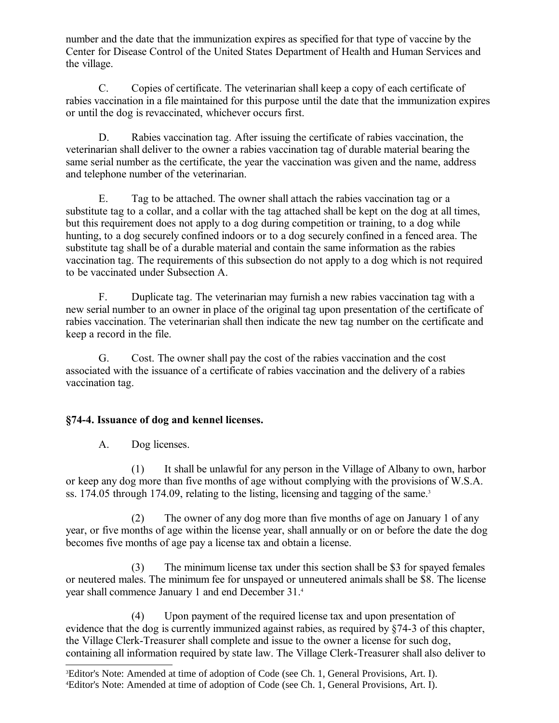number and the date that the immunization expires as specified for that type of vaccine by the Center for Disease Control of the United States Department of Health and Human Services and the village.

C. Copies of certificate. The veterinarian shall keep a copy of each certificate of rabies vaccination in a file maintained for this purpose until the date that the immunization expires or until the dog is revaccinated, whichever occurs first.

D. Rabies vaccination tag. After issuing the certificate of rabies vaccination, the veterinarian shall deliver to the owner a rabies vaccination tag of durable material bearing the same serial number as the certificate, the year the vaccination was given and the name, address and telephone number of the veterinarian.

E. Tag to be attached. The owner shall attach the rabies vaccination tag or a substitute tag to a collar, and a collar with the tag attached shall be kept on the dog at all times, but this requirement does not apply to a dog during competition or training, to a dog while hunting, to a dog securely confined indoors or to a dog securely confined in a fenced area. The substitute tag shall be of a durable material and contain the same information as the rabies vaccination tag. The requirements of this subsection do not apply to a dog which is not required to be vaccinated under Subsection A.

F. Duplicate tag. The veterinarian may furnish a new rabies vaccination tag with a new serial number to an owner in place of the original tag upon presentation of the certificate of rabies vaccination. The veterinarian shall then indicate the new tag number on the certificate and keep a record in the file.

G. Cost. The owner shall pay the cost of the rabies vaccination and the cost associated with the issuance of a certificate of rabies vaccination and the delivery of a rabies vaccination tag.

## **§74-4. Issuance of dog and kennel licenses.**

A. Dog licenses.

(1) It shall be unlawful for any person in the Village of Albany to own, harbor or keep any dog more than five months of age without complying with the provisions of W.S.A. ss. 174.05 through 174.09, relating to the listing, licensing and tagging of the same.<sup>[3](#page-2-0)</sup>

(2) The owner of any dog more than five months of age on January 1 of any year, or five months of age within the license year, shall annually or on or before the date the dog becomes five months of age pay a license tax and obtain a license.

(3) The minimum license tax under this section shall be \$3 for spayed females or neutered males. The minimum fee for unspayed or unneutered animals shall be \$8. The license year shall commence January 1 and end December 31.[4](#page-2-1)

(4) Upon payment of the required license tax and upon presentation of evidence that the dog is currently immunized against rabies, as required by §74-3 of this chapter, the Village Clerk-Treasurer shall complete and issue to the owner a license for such dog, containing all information required by state law. The Village Clerk-Treasurer shall also deliver to

<span id="page-2-1"></span><span id="page-2-0"></span><sup>3</sup>Editor's Note: Amended at time of adoption of Code (see Ch. 1, General Provisions, Art. I). 4Editor's Note: Amended at time of adoption of Code (see Ch. 1, General Provisions, Art. I).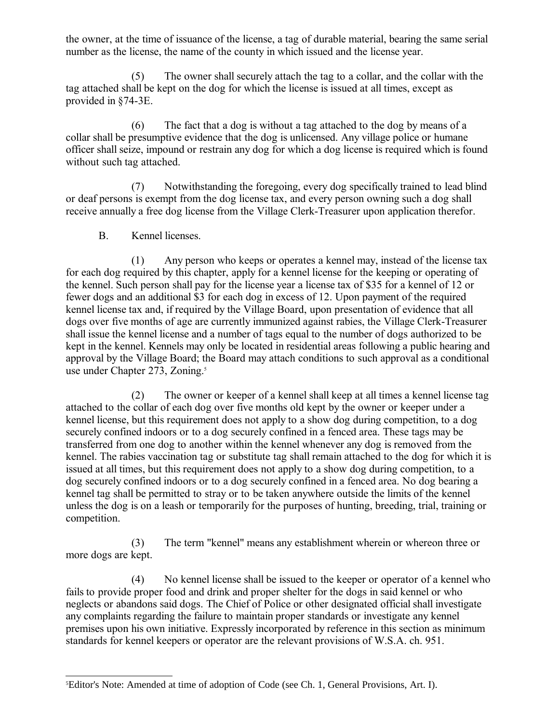the owner, at the time of issuance of the license, a tag of durable material, bearing the same serial number as the license, the name of the county in which issued and the license year.

(5) The owner shall securely attach the tag to a collar, and the collar with the tag attached shall be kept on the dog for which the license is issued at all times, except as provided in §74-3E.

(6) The fact that a dog is without a tag attached to the dog by means of a collar shall be presumptive evidence that the dog is unlicensed. Any village police or humane officer shall seize, impound or restrain any dog for which a dog license is required which is found without such tag attached.

(7) Notwithstanding the foregoing, every dog specifically trained to lead blind or deaf persons is exempt from the dog license tax, and every person owning such a dog shall receive annually a free dog license from the Village Clerk-Treasurer upon application therefor.

B. Kennel licenses.

(1) Any person who keeps or operates a kennel may, instead of the license tax for each dog required by this chapter, apply for a kennel license for the keeping or operating of the kennel. Such person shall pay for the license year a license tax of \$35 for a kennel of 12 or fewer dogs and an additional \$3 for each dog in excess of 12. Upon payment of the required kennel license tax and, if required by the Village Board, upon presentation of evidence that all dogs over five months of age are currently immunized against rabies, the Village Clerk-Treasurer shall issue the kennel license and a number of tags equal to the number of dogs authorized to be kept in the kennel. Kennels may only be located in residential areas following a public hearing and approval by the Village Board; the Board may attach conditions to such approval as a conditional use under Chapter 273, Zoning.<sup>[5](#page-3-0)</sup>

(2) The owner or keeper of a kennel shall keep at all times a kennel license tag attached to the collar of each dog over five months old kept by the owner or keeper under a kennel license, but this requirement does not apply to a show dog during competition, to a dog securely confined indoors or to a dog securely confined in a fenced area. These tags may be transferred from one dog to another within the kennel whenever any dog is removed from the kennel. The rabies vaccination tag or substitute tag shall remain attached to the dog for which it is issued at all times, but this requirement does not apply to a show dog during competition, to a dog securely confined indoors or to a dog securely confined in a fenced area. No dog bearing a kennel tag shall be permitted to stray or to be taken anywhere outside the limits of the kennel unless the dog is on a leash or temporarily for the purposes of hunting, breeding, trial, training or competition.

(3) The term "kennel" means any establishment wherein or whereon three or more dogs are kept.

(4) No kennel license shall be issued to the keeper or operator of a kennel who fails to provide proper food and drink and proper shelter for the dogs in said kennel or who neglects or abandons said dogs. The Chief of Police or other designated official shall investigate any complaints regarding the failure to maintain proper standards or investigate any kennel premises upon his own initiative. Expressly incorporated by reference in this section as minimum standards for kennel keepers or operator are the relevant provisions of W.S.A. ch. 951.

<span id="page-3-0"></span><sup>5</sup>Editor's Note: Amended at time of adoption of Code (see Ch. 1, General Provisions, Art. I).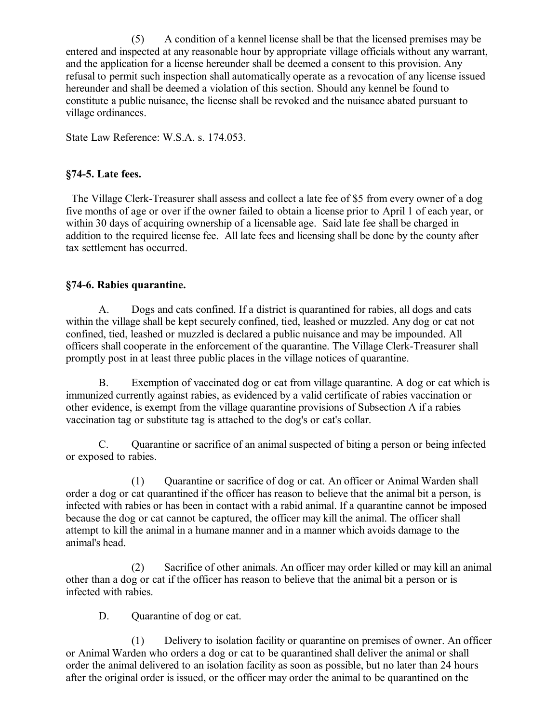(5) A condition of a kennel license shall be that the licensed premises may be entered and inspected at any reasonable hour by appropriate village officials without any warrant, and the application for a license hereunder shall be deemed a consent to this provision. Any refusal to permit such inspection shall automatically operate as a revocation of any license issued hereunder and shall be deemed a violation of this section. Should any kennel be found to constitute a public nuisance, the license shall be revoked and the nuisance abated pursuant to village ordinances.

State Law Reference: W.S.A. s. 174.053.

### **§74-5. Late fees.**

 The Village Clerk-Treasurer shall assess and collect a late fee of \$5 from every owner of a dog five months of age or over if the owner failed to obtain a license prior to April 1 of each year, or within 30 days of acquiring ownership of a licensable age. Said late fee shall be charged in addition to the required license fee. All late fees and licensing shall be done by the county after tax settlement has occurred.

### **§74-6. Rabies quarantine.**

A. Dogs and cats confined. If a district is quarantined for rabies, all dogs and cats within the village shall be kept securely confined, tied, leashed or muzzled. Any dog or cat not confined, tied, leashed or muzzled is declared a public nuisance and may be impounded. All officers shall cooperate in the enforcement of the quarantine. The Village Clerk-Treasurer shall promptly post in at least three public places in the village notices of quarantine.

B. Exemption of vaccinated dog or cat from village quarantine. A dog or cat which is immunized currently against rabies, as evidenced by a valid certificate of rabies vaccination or other evidence, is exempt from the village quarantine provisions of Subsection A if a rabies vaccination tag or substitute tag is attached to the dog's or cat's collar.

C. Quarantine or sacrifice of an animal suspected of biting a person or being infected or exposed to rabies.

(1) Quarantine or sacrifice of dog or cat. An officer or Animal Warden shall order a dog or cat quarantined if the officer has reason to believe that the animal bit a person, is infected with rabies or has been in contact with a rabid animal. If a quarantine cannot be imposed because the dog or cat cannot be captured, the officer may kill the animal. The officer shall attempt to kill the animal in a humane manner and in a manner which avoids damage to the animal's head.

(2) Sacrifice of other animals. An officer may order killed or may kill an animal other than a dog or cat if the officer has reason to believe that the animal bit a person or is infected with rabies.

D. Ouarantine of dog or cat.

(1) Delivery to isolation facility or quarantine on premises of owner. An officer or Animal Warden who orders a dog or cat to be quarantined shall deliver the animal or shall order the animal delivered to an isolation facility as soon as possible, but no later than 24 hours after the original order is issued, or the officer may order the animal to be quarantined on the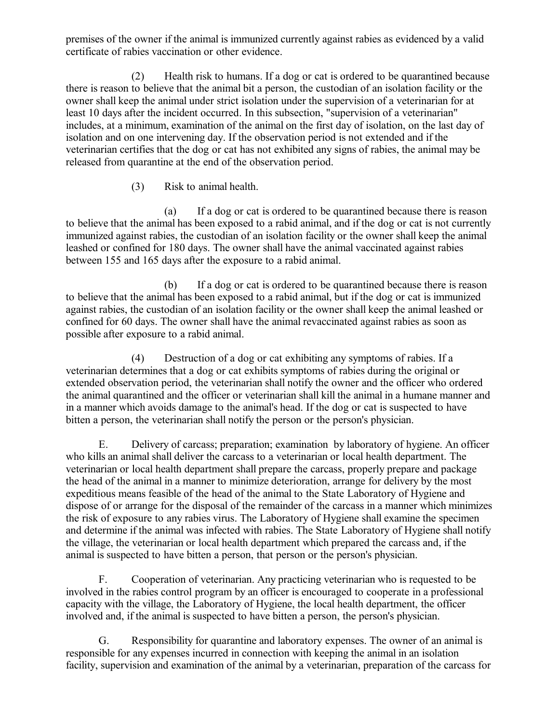premises of the owner if the animal is immunized currently against rabies as evidenced by a valid certificate of rabies vaccination or other evidence.

(2) Health risk to humans. If a dog or cat is ordered to be quarantined because there is reason to believe that the animal bit a person, the custodian of an isolation facility or the owner shall keep the animal under strict isolation under the supervision of a veterinarian for at least 10 days after the incident occurred. In this subsection, "supervision of a veterinarian" includes, at a minimum, examination of the animal on the first day of isolation, on the last day of isolation and on one intervening day. If the observation period is not extended and if the veterinarian certifies that the dog or cat has not exhibited any signs of rabies, the animal may be released from quarantine at the end of the observation period.

(3) Risk to animal health.

(a) If a dog or cat is ordered to be quarantined because there is reason to believe that the animal has been exposed to a rabid animal, and if the dog or cat is not currently immunized against rabies, the custodian of an isolation facility or the owner shall keep the animal leashed or confined for 180 days. The owner shall have the animal vaccinated against rabies between 155 and 165 days after the exposure to a rabid animal.

(b) If a dog or cat is ordered to be quarantined because there is reason to believe that the animal has been exposed to a rabid animal, but if the dog or cat is immunized against rabies, the custodian of an isolation facility or the owner shall keep the animal leashed or confined for 60 days. The owner shall have the animal revaccinated against rabies as soon as possible after exposure to a rabid animal.

(4) Destruction of a dog or cat exhibiting any symptoms of rabies. If a veterinarian determines that a dog or cat exhibits symptoms of rabies during the original or extended observation period, the veterinarian shall notify the owner and the officer who ordered the animal quarantined and the officer or veterinarian shall kill the animal in a humane manner and in a manner which avoids damage to the animal's head. If the dog or cat is suspected to have bitten a person, the veterinarian shall notify the person or the person's physician.

E. Delivery of carcass; preparation; examination by laboratory of hygiene. An officer who kills an animal shall deliver the carcass to a veterinarian or local health department. The veterinarian or local health department shall prepare the carcass, properly prepare and package the head of the animal in a manner to minimize deterioration, arrange for delivery by the most expeditious means feasible of the head of the animal to the State Laboratory of Hygiene and dispose of or arrange for the disposal of the remainder of the carcass in a manner which minimizes the risk of exposure to any rabies virus. The Laboratory of Hygiene shall examine the specimen and determine if the animal was infected with rabies. The State Laboratory of Hygiene shall notify the village, the veterinarian or local health department which prepared the carcass and, if the animal is suspected to have bitten a person, that person or the person's physician.

F. Cooperation of veterinarian. Any practicing veterinarian who is requested to be involved in the rabies control program by an officer is encouraged to cooperate in a professional capacity with the village, the Laboratory of Hygiene, the local health department, the officer involved and, if the animal is suspected to have bitten a person, the person's physician.

G. Responsibility for quarantine and laboratory expenses. The owner of an animal is responsible for any expenses incurred in connection with keeping the animal in an isolation facility, supervision and examination of the animal by a veterinarian, preparation of the carcass for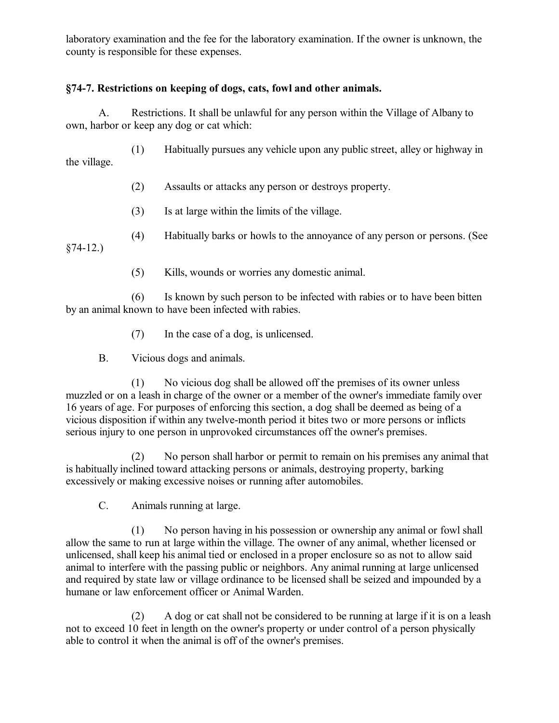laboratory examination and the fee for the laboratory examination. If the owner is unknown, the county is responsible for these expenses.

## **§74-7. Restrictions on keeping of dogs, cats, fowl and other animals.**

A. Restrictions. It shall be unlawful for any person within the Village of Albany to own, harbor or keep any dog or cat which:

(1) Habitually pursues any vehicle upon any public street, alley or highway in the village.

- (2) Assaults or attacks any person or destroys property.
- (3) Is at large within the limits of the village.
- (4) Habitually barks or howls to the annoyance of any person or persons. (See

§74-12.)

(5) Kills, wounds or worries any domestic animal.

(6) Is known by such person to be infected with rabies or to have been bitten by an animal known to have been infected with rabies.

- (7) In the case of a dog, is unlicensed.
- B. Vicious dogs and animals.

(1) No vicious dog shall be allowed off the premises of its owner unless muzzled or on a leash in charge of the owner or a member of the owner's immediate family over 16 years of age. For purposes of enforcing this section, a dog shall be deemed as being of a vicious disposition if within any twelve-month period it bites two or more persons or inflicts serious injury to one person in unprovoked circumstances off the owner's premises.

(2) No person shall harbor or permit to remain on his premises any animal that is habitually inclined toward attacking persons or animals, destroying property, barking excessively or making excessive noises or running after automobiles.

C. Animals running at large.

(1) No person having in his possession or ownership any animal or fowl shall allow the same to run at large within the village. The owner of any animal, whether licensed or unlicensed, shall keep his animal tied or enclosed in a proper enclosure so as not to allow said animal to interfere with the passing public or neighbors. Any animal running at large unlicensed and required by state law or village ordinance to be licensed shall be seized and impounded by a humane or law enforcement officer or Animal Warden.

(2) A dog or cat shall not be considered to be running at large if it is on a leash not to exceed 10 feet in length on the owner's property or under control of a person physically able to control it when the animal is off of the owner's premises.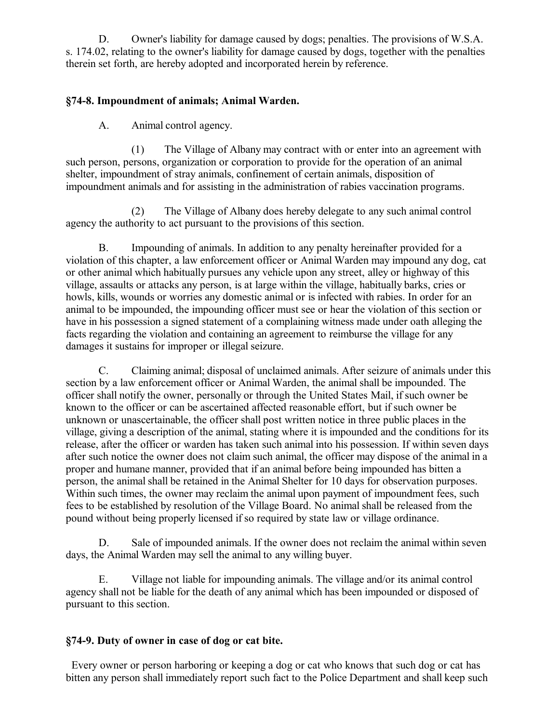D. Owner's liability for damage caused by dogs; penalties. The provisions of W.S.A. s. 174.02, relating to the owner's liability for damage caused by dogs, together with the penalties therein set forth, are hereby adopted and incorporated herein by reference.

### **§74-8. Impoundment of animals; Animal Warden.**

A. Animal control agency.

(1) The Village of Albany may contract with or enter into an agreement with such person, persons, organization or corporation to provide for the operation of an animal shelter, impoundment of stray animals, confinement of certain animals, disposition of impoundment animals and for assisting in the administration of rabies vaccination programs.

(2) The Village of Albany does hereby delegate to any such animal control agency the authority to act pursuant to the provisions of this section.

B. Impounding of animals. In addition to any penalty hereinafter provided for a violation of this chapter, a law enforcement officer or Animal Warden may impound any dog, cat or other animal which habitually pursues any vehicle upon any street, alley or highway of this village, assaults or attacks any person, is at large within the village, habitually barks, cries or howls, kills, wounds or worries any domestic animal or is infected with rabies. In order for an animal to be impounded, the impounding officer must see or hear the violation of this section or have in his possession a signed statement of a complaining witness made under oath alleging the facts regarding the violation and containing an agreement to reimburse the village for any damages it sustains for improper or illegal seizure.

C. Claiming animal; disposal of unclaimed animals. After seizure of animals under this section by a law enforcement officer or Animal Warden, the animal shall be impounded. The officer shall notify the owner, personally or through the United States Mail, if such owner be known to the officer or can be ascertained affected reasonable effort, but if such owner be unknown or unascertainable, the officer shall post written notice in three public places in the village, giving a description of the animal, stating where it is impounded and the conditions for its release, after the officer or warden has taken such animal into his possession. If within seven days after such notice the owner does not claim such animal, the officer may dispose of the animal in a proper and humane manner, provided that if an animal before being impounded has bitten a person, the animal shall be retained in the Animal Shelter for 10 days for observation purposes. Within such times, the owner may reclaim the animal upon payment of impoundment fees, such fees to be established by resolution of the Village Board. No animal shall be released from the pound without being properly licensed if so required by state law or village ordinance.

D. Sale of impounded animals. If the owner does not reclaim the animal within seven days, the Animal Warden may sell the animal to any willing buyer.

E. Village not liable for impounding animals. The village and/or its animal control agency shall not be liable for the death of any animal which has been impounded or disposed of pursuant to this section.

### **§74-9. Duty of owner in case of dog or cat bite.**

 Every owner or person harboring or keeping a dog or cat who knows that such dog or cat has bitten any person shall immediately report such fact to the Police Department and shall keep such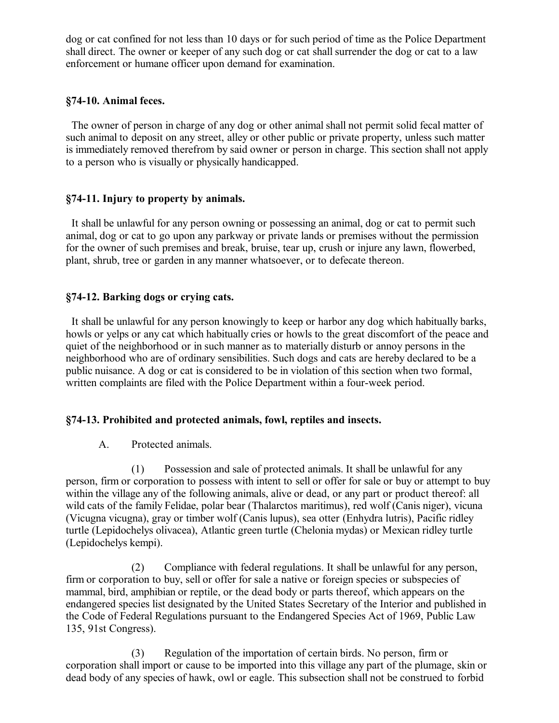dog or cat confined for not less than 10 days or for such period of time as the Police Department shall direct. The owner or keeper of any such dog or cat shall surrender the dog or cat to a law enforcement or humane officer upon demand for examination.

#### **§74-10. Animal feces.**

 The owner of person in charge of any dog or other animal shall not permit solid fecal matter of such animal to deposit on any street, alley or other public or private property, unless such matter is immediately removed therefrom by said owner or person in charge. This section shall not apply to a person who is visually or physically handicapped.

#### **§74-11. Injury to property by animals.**

 It shall be unlawful for any person owning or possessing an animal, dog or cat to permit such animal, dog or cat to go upon any parkway or private lands or premises without the permission for the owner of such premises and break, bruise, tear up, crush or injure any lawn, flowerbed, plant, shrub, tree or garden in any manner whatsoever, or to defecate thereon.

#### **§74-12. Barking dogs or crying cats.**

 It shall be unlawful for any person knowingly to keep or harbor any dog which habitually barks, howls or yelps or any cat which habitually cries or howls to the great discomfort of the peace and quiet of the neighborhood or in such manner as to materially disturb or annoy persons in the neighborhood who are of ordinary sensibilities. Such dogs and cats are hereby declared to be a public nuisance. A dog or cat is considered to be in violation of this section when two formal, written complaints are filed with the Police Department within a four-week period.

### **§74-13. Prohibited and protected animals, fowl, reptiles and insects.**

A. Protected animals.

(1) Possession and sale of protected animals. It shall be unlawful for any person, firm or corporation to possess with intent to sell or offer for sale or buy or attempt to buy within the village any of the following animals, alive or dead, or any part or product thereof: all wild cats of the family Felidae, polar bear (Thalarctos maritimus), red wolf (Canis niger), vicuna (Vicugna vicugna), gray or timber wolf (Canis lupus), sea otter (Enhydra lutris), Pacific ridley turtle (Lepidochelys olivacea), Atlantic green turtle (Chelonia mydas) or Mexican ridley turtle (Lepidochelys kempi).

(2) Compliance with federal regulations. It shall be unlawful for any person, firm or corporation to buy, sell or offer for sale a native or foreign species or subspecies of mammal, bird, amphibian or reptile, or the dead body or parts thereof, which appears on the endangered species list designated by the United States Secretary of the Interior and published in the Code of Federal Regulations pursuant to the Endangered Species Act of 1969, Public Law 135, 91st Congress).

(3) Regulation of the importation of certain birds. No person, firm or corporation shall import or cause to be imported into this village any part of the plumage, skin or dead body of any species of hawk, owl or eagle. This subsection shall not be construed to forbid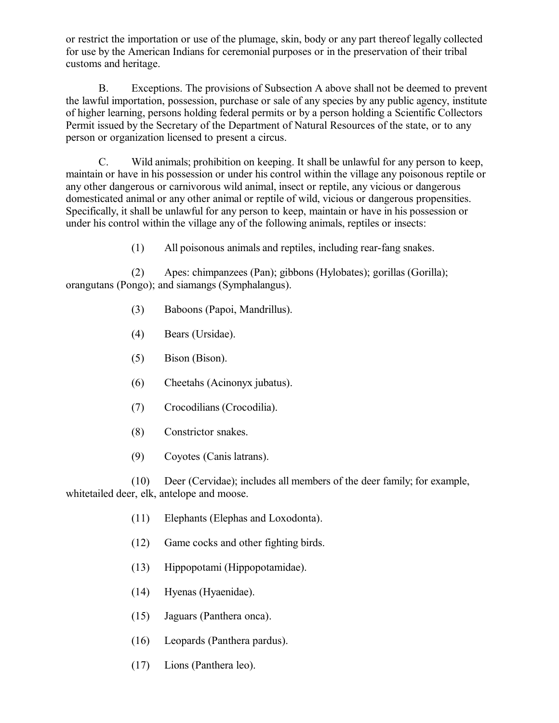or restrict the importation or use of the plumage, skin, body or any part thereof legally collected for use by the American Indians for ceremonial purposes or in the preservation of their tribal customs and heritage.

B. Exceptions. The provisions of Subsection A above shall not be deemed to prevent the lawful importation, possession, purchase or sale of any species by any public agency, institute of higher learning, persons holding federal permits or by a person holding a Scientific Collectors Permit issued by the Secretary of the Department of Natural Resources of the state, or to any person or organization licensed to present a circus.

C. Wild animals; prohibition on keeping. It shall be unlawful for any person to keep, maintain or have in his possession or under his control within the village any poisonous reptile or any other dangerous or carnivorous wild animal, insect or reptile, any vicious or dangerous domesticated animal or any other animal or reptile of wild, vicious or dangerous propensities. Specifically, it shall be unlawful for any person to keep, maintain or have in his possession or under his control within the village any of the following animals, reptiles or insects:

(1) All poisonous animals and reptiles, including rear-fang snakes.

(2) Apes: chimpanzees (Pan); gibbons (Hylobates); gorillas (Gorilla); orangutans (Pongo); and siamangs (Symphalangus).

- (3) Baboons (Papoi, Mandrillus).
- (4) Bears (Ursidae).
- (5) Bison (Bison).
- (6) Cheetahs (Acinonyx jubatus).
- (7) Crocodilians (Crocodilia).
- (8) Constrictor snakes.
- (9) Coyotes (Canis latrans).

(10) Deer (Cervidae); includes all members of the deer family; for example, whitetailed deer, elk, antelope and moose.

- (11) Elephants (Elephas and Loxodonta).
- (12) Game cocks and other fighting birds.
- (13) Hippopotami (Hippopotamidae).
- (14) Hyenas (Hyaenidae).
- (15) Jaguars (Panthera onca).
- (16) Leopards (Panthera pardus).
- (17) Lions (Panthera leo).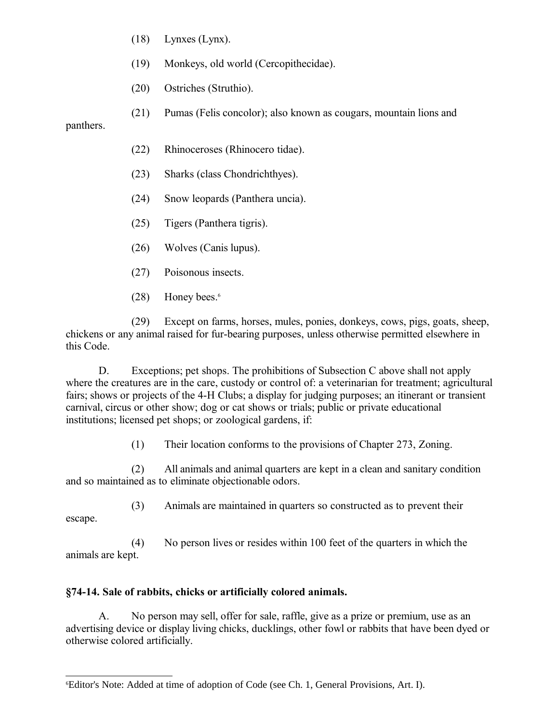(18) Lynxes (Lynx).

- (19) Monkeys, old world (Cercopithecidae).
- (20) Ostriches (Struthio).
- (21) Pumas (Felis concolor); also known as cougars, mountain lions and

panthers.

- (22) Rhinoceroses (Rhinocero tidae).
- (23) Sharks (class Chondrichthyes).
- (24) Snow leopards (Panthera uncia).
- (25) Tigers (Panthera tigris).
- (26) Wolves (Canis lupus).
- (27) Poisonous insects.
- $(28)$  Honey bees.<sup>[6](#page-10-0)</sup>

(29) Except on farms, horses, mules, ponies, donkeys, cows, pigs, goats, sheep, chickens or any animal raised for fur-bearing purposes, unless otherwise permitted elsewhere in this Code.

D. Exceptions; pet shops. The prohibitions of Subsection C above shall not apply where the creatures are in the care, custody or control of: a veterinarian for treatment; agricultural fairs; shows or projects of the 4-H Clubs; a display for judging purposes; an itinerant or transient carnival, circus or other show; dog or cat shows or trials; public or private educational institutions; licensed pet shops; or zoological gardens, if:

(1) Their location conforms to the provisions of Chapter 273, Zoning.

(2) All animals and animal quarters are kept in a clean and sanitary condition and so maintained as to eliminate objectionable odors.

(3) Animals are maintained in quarters so constructed as to prevent their

escape.

(4) No person lives or resides within 100 feet of the quarters in which the animals are kept.

# **§74-14. Sale of rabbits, chicks or artificially colored animals.**

A. No person may sell, offer for sale, raffle, give as a prize or premium, use as an advertising device or display living chicks, ducklings, other fowl or rabbits that have been dyed or otherwise colored artificially.

<span id="page-10-0"></span><sup>6</sup>Editor's Note: Added at time of adoption of Code (see Ch. 1, General Provisions, Art. I).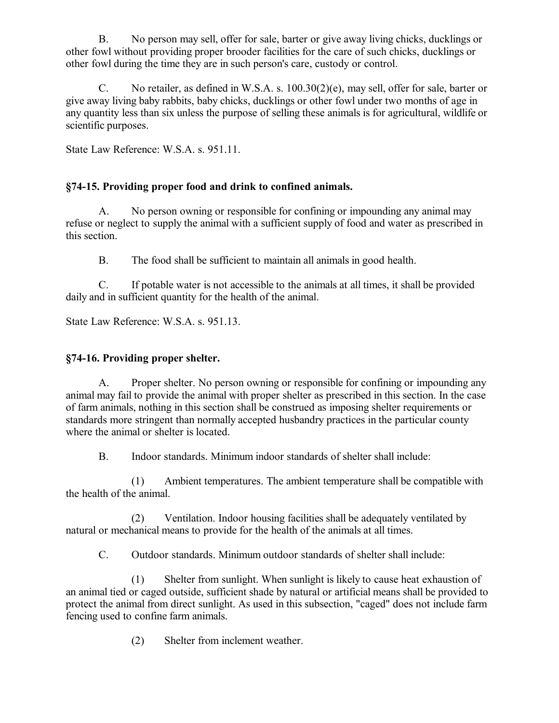B. No person may sell, offer for sale, barter or give away living chicks, ducklings or other fowl without providing proper brooder facilities for the care of such chicks, ducklings or other fowl during the time they are in such person's care, custody or control.

C. No retailer, as defined in W.S.A. s. 100.30(2)(e), may sell, offer for sale, barter or give away living baby rabbits, baby chicks, ducklings or other fowl under two months of age in any quantity less than six unless the purpose of selling these animals is for agricultural, wildlife or scientific purposes.

State Law Reference: W.S.A. s. 951.11.

## **§74-15. Providing proper food and drink to confined animals.**

A. No person owning or responsible for confining or impounding any animal may refuse or neglect to supply the animal with a sufficient supply of food and water as prescribed in this section.

B. The food shall be sufficient to maintain all animals in good health.

C. If potable water is not accessible to the animals at all times, it shall be provided daily and in sufficient quantity for the health of the animal.

State Law Reference: W.S.A. s. 951.13.

### **§74-16. Providing proper shelter.**

A. Proper shelter. No person owning or responsible for confining or impounding any animal may fail to provide the animal with proper shelter as prescribed in this section. In the case of farm animals, nothing in this section shall be construed as imposing shelter requirements or standards more stringent than normally accepted husbandry practices in the particular county where the animal or shelter is located.

B. Indoor standards. Minimum indoor standards of shelter shall include:

(1) Ambient temperatures. The ambient temperature shall be compatible with the health of the animal.

(2) Ventilation. Indoor housing facilities shall be adequately ventilated by natural or mechanical means to provide for the health of the animals at all times.

C. Outdoor standards. Minimum outdoor standards of shelter shall include:

(1) Shelter from sunlight. When sunlight is likely to cause heat exhaustion of an animal tied or caged outside, sufficient shade by natural or artificial means shall be provided to protect the animal from direct sunlight. As used in this subsection, "caged" does not include farm fencing used to confine farm animals.

(2) Shelter from inclement weather.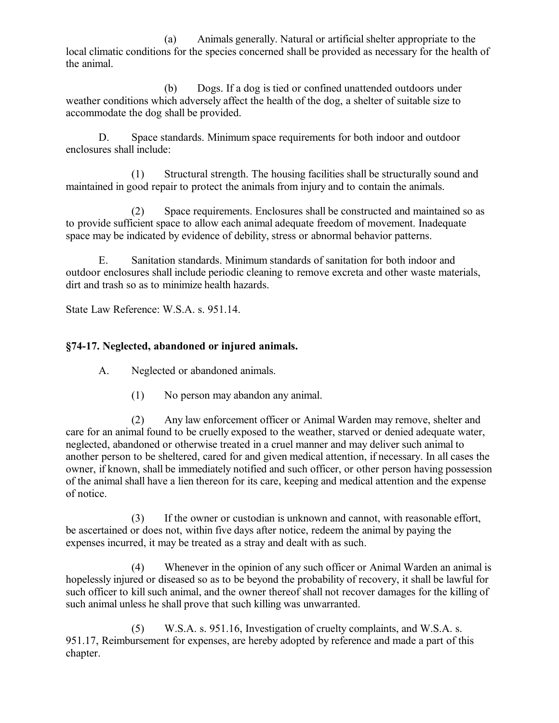(a) Animals generally. Natural or artificial shelter appropriate to the local climatic conditions for the species concerned shall be provided as necessary for the health of the animal.

(b) Dogs. If a dog is tied or confined unattended outdoors under weather conditions which adversely affect the health of the dog, a shelter of suitable size to accommodate the dog shall be provided.

D. Space standards. Minimum space requirements for both indoor and outdoor enclosures shall include:

(1) Structural strength. The housing facilities shall be structurally sound and maintained in good repair to protect the animals from injury and to contain the animals.

(2) Space requirements. Enclosures shall be constructed and maintained so as to provide sufficient space to allow each animal adequate freedom of movement. Inadequate space may be indicated by evidence of debility, stress or abnormal behavior patterns.

E. Sanitation standards. Minimum standards of sanitation for both indoor and outdoor enclosures shall include periodic cleaning to remove excreta and other waste materials, dirt and trash so as to minimize health hazards.

State Law Reference: W.S.A. s. 951.14.

## **§74-17. Neglected, abandoned or injured animals.**

A. Neglected or abandoned animals.

(1) No person may abandon any animal.

(2) Any law enforcement officer or Animal Warden may remove, shelter and care for an animal found to be cruelly exposed to the weather, starved or denied adequate water, neglected, abandoned or otherwise treated in a cruel manner and may deliver such animal to another person to be sheltered, cared for and given medical attention, if necessary. In all cases the owner, if known, shall be immediately notified and such officer, or other person having possession of the animal shall have a lien thereon for its care, keeping and medical attention and the expense of notice.

(3) If the owner or custodian is unknown and cannot, with reasonable effort, be ascertained or does not, within five days after notice, redeem the animal by paying the expenses incurred, it may be treated as a stray and dealt with as such.

(4) Whenever in the opinion of any such officer or Animal Warden an animal is hopelessly injured or diseased so as to be beyond the probability of recovery, it shall be lawful for such officer to kill such animal, and the owner thereof shall not recover damages for the killing of such animal unless he shall prove that such killing was unwarranted.

(5) W.S.A. s. 951.16, Investigation of cruelty complaints, and W.S.A. s. 951.17, Reimbursement for expenses, are hereby adopted by reference and made a part of this chapter.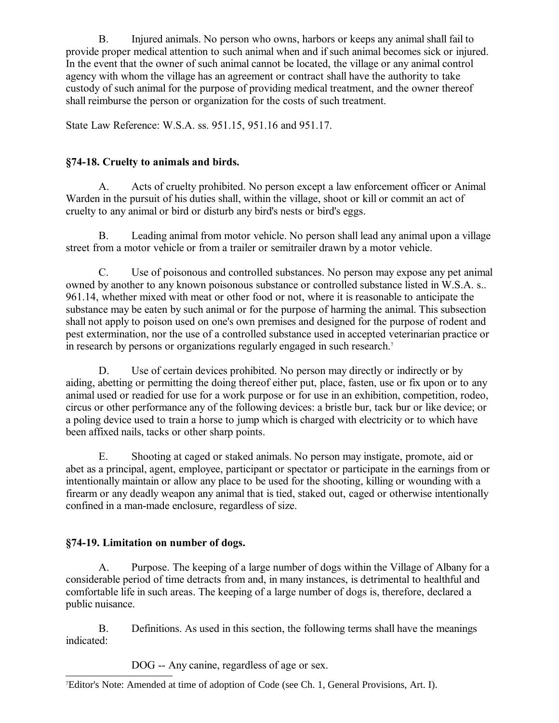B. Injured animals. No person who owns, harbors or keeps any animal shall fail to provide proper medical attention to such animal when and if such animal becomes sick or injured. In the event that the owner of such animal cannot be located, the village or any animal control agency with whom the village has an agreement or contract shall have the authority to take custody of such animal for the purpose of providing medical treatment, and the owner thereof shall reimburse the person or organization for the costs of such treatment.

State Law Reference: W.S.A. ss. 951.15, 951.16 and 951.17.

### **§74-18. Cruelty to animals and birds.**

A. Acts of cruelty prohibited. No person except a law enforcement officer or Animal Warden in the pursuit of his duties shall, within the village, shoot or kill or commit an act of cruelty to any animal or bird or disturb any bird's nests or bird's eggs.

B. Leading animal from motor vehicle. No person shall lead any animal upon a village street from a motor vehicle or from a trailer or semitrailer drawn by a motor vehicle.

C. Use of poisonous and controlled substances. No person may expose any pet animal owned by another to any known poisonous substance or controlled substance listed in W.S.A. s.. 961.14, whether mixed with meat or other food or not, where it is reasonable to anticipate the substance may be eaten by such animal or for the purpose of harming the animal. This subsection shall not apply to poison used on one's own premises and designed for the purpose of rodent and pest extermination, nor the use of a controlled substance used in accepted veterinarian practice or in research by persons or organizations regularly engaged in such research.<sup>[7](#page-13-0)</sup>

D. Use of certain devices prohibited. No person may directly or indirectly or by aiding, abetting or permitting the doing thereof either put, place, fasten, use or fix upon or to any animal used or readied for use for a work purpose or for use in an exhibition, competition, rodeo, circus or other performance any of the following devices: a bristle bur, tack bur or like device; or a poling device used to train a horse to jump which is charged with electricity or to which have been affixed nails, tacks or other sharp points.

E. Shooting at caged or staked animals. No person may instigate, promote, aid or abet as a principal, agent, employee, participant or spectator or participate in the earnings from or intentionally maintain or allow any place to be used for the shooting, killing or wounding with a firearm or any deadly weapon any animal that is tied, staked out, caged or otherwise intentionally confined in a man-made enclosure, regardless of size.

## **§74-19. Limitation on number of dogs.**

A. Purpose. The keeping of a large number of dogs within the Village of Albany for a considerable period of time detracts from and, in many instances, is detrimental to healthful and comfortable life in such areas. The keeping of a large number of dogs is, therefore, declared a public nuisance.

B. Definitions. As used in this section, the following terms shall have the meanings indicated:

DOG -- Any canine, regardless of age or sex.

<span id="page-13-0"></span><sup>7</sup>Editor's Note: Amended at time of adoption of Code (see Ch. 1, General Provisions, Art. I).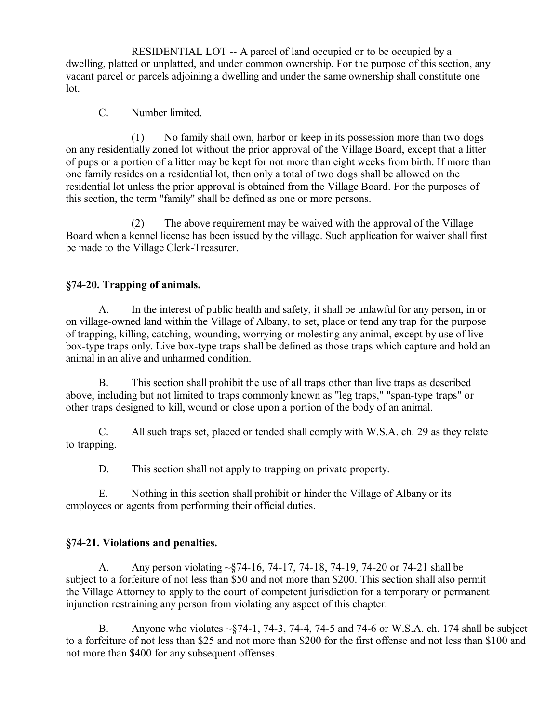RESIDENTIAL LOT -- A parcel of land occupied or to be occupied by a dwelling, platted or unplatted, and under common ownership. For the purpose of this section, any vacant parcel or parcels adjoining a dwelling and under the same ownership shall constitute one lot.

C. Number limited.

(1) No family shall own, harbor or keep in its possession more than two dogs on any residentially zoned lot without the prior approval of the Village Board, except that a litter of pups or a portion of a litter may be kept for not more than eight weeks from birth. If more than one family resides on a residential lot, then only a total of two dogs shall be allowed on the residential lot unless the prior approval is obtained from the Village Board. For the purposes of this section, the term "family" shall be defined as one or more persons.

(2) The above requirement may be waived with the approval of the Village Board when a kennel license has been issued by the village. Such application for waiver shall first be made to the Village Clerk-Treasurer.

## **§74-20. Trapping of animals.**

A. In the interest of public health and safety, it shall be unlawful for any person, in or on village-owned land within the Village of Albany, to set, place or tend any trap for the purpose of trapping, killing, catching, wounding, worrying or molesting any animal, except by use of live box-type traps only. Live box-type traps shall be defined as those traps which capture and hold an animal in an alive and unharmed condition.

B. This section shall prohibit the use of all traps other than live traps as described above, including but not limited to traps commonly known as "leg traps," "span-type traps" or other traps designed to kill, wound or close upon a portion of the body of an animal.

C. All such traps set, placed or tended shall comply with W.S.A. ch. 29 as they relate to trapping.

D. This section shall not apply to trapping on private property.

E. Nothing in this section shall prohibit or hinder the Village of Albany or its employees or agents from performing their official duties.

## **§74-21. Violations and penalties.**

A. Any person violating ~§74-16, 74-17, 74-18, 74-19, 74-20 or 74-21 shall be subject to a forfeiture of not less than \$50 and not more than \$200. This section shall also permit the Village Attorney to apply to the court of competent jurisdiction for a temporary or permanent injunction restraining any person from violating any aspect of this chapter.

B. Anyone who violates  $\sim$ §74-1, 74-3, 74-4, 74-5 and 74-6 or W.S.A. ch. 174 shall be subject to a forfeiture of not less than \$25 and not more than \$200 for the first offense and not less than \$100 and not more than \$400 for any subsequent offenses.